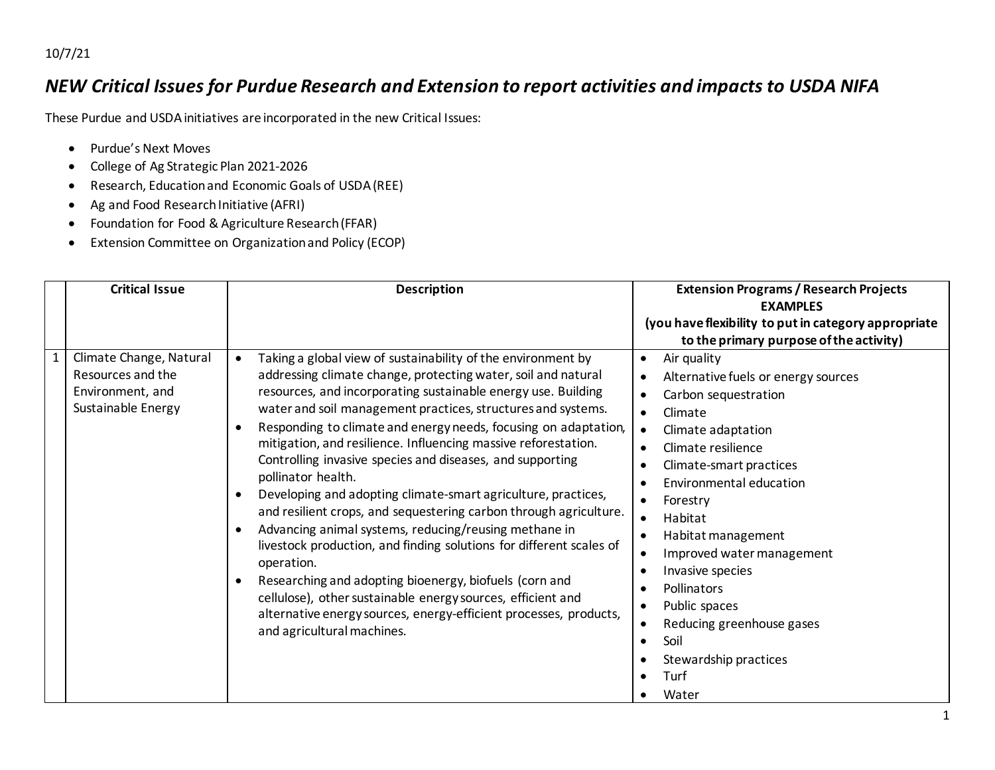10/7/21

## *NEW Critical Issues for Purdue Research and Extension to report activities and impacts to USDA NIFA*

These Purdue and USDA initiatives are incorporated in the new Critical Issues:

- Purdue's Next Moves
- College of Ag Strategic Plan 2021-2026
- Research, Education and Economic Goals of USDA (REE)
- Ag and Food Research Initiative (AFRI)
- Foundation for Food & Agriculture Research (FFAR)
- Extension Committee on Organization and Policy (ECOP)

| <b>Critical Issue</b>                                                                  | <b>Description</b>                                                                                                                                                                                                                                                                                                                                                                                                                                                                                                                                                                                                                                                                                                                                                                                                                                                                                                                                                                                     | <b>Extension Programs / Research Projects</b><br><b>EXAMPLES</b><br>(you have flexibility to put in category appropriate<br>to the primary purpose of the activity)                                                                                                                                                                                                                                                                                                                       |
|----------------------------------------------------------------------------------------|--------------------------------------------------------------------------------------------------------------------------------------------------------------------------------------------------------------------------------------------------------------------------------------------------------------------------------------------------------------------------------------------------------------------------------------------------------------------------------------------------------------------------------------------------------------------------------------------------------------------------------------------------------------------------------------------------------------------------------------------------------------------------------------------------------------------------------------------------------------------------------------------------------------------------------------------------------------------------------------------------------|-------------------------------------------------------------------------------------------------------------------------------------------------------------------------------------------------------------------------------------------------------------------------------------------------------------------------------------------------------------------------------------------------------------------------------------------------------------------------------------------|
| Climate Change, Natural<br>Resources and the<br>Environment, and<br>Sustainable Energy | Taking a global view of sustainability of the environment by<br>addressing climate change, protecting water, soil and natural<br>resources, and incorporating sustainable energy use. Building<br>water and soil management practices, structures and systems.<br>Responding to climate and energy needs, focusing on adaptation,<br>mitigation, and resilience. Influencing massive reforestation.<br>Controlling invasive species and diseases, and supporting<br>pollinator health.<br>Developing and adopting climate-smart agriculture, practices,<br>and resilient crops, and sequestering carbon through agriculture.<br>Advancing animal systems, reducing/reusing methane in<br>livestock production, and finding solutions for different scales of<br>operation.<br>Researching and adopting bioenergy, biofuels (corn and<br>cellulose), other sustainable energy sources, efficient and<br>alternative energy sources, energy-efficient processes, products,<br>and agricultural machines. | Air quality<br>$\bullet$<br>Alternative fuels or energy sources<br>$\bullet$<br>Carbon sequestration<br>$\bullet$<br>Climate<br>Climate adaptation<br>Climate resilience<br>Climate-smart practices<br>Environmental education<br>Forestry<br>Habitat<br>$\bullet$<br>Habitat management<br>$\bullet$<br>Improved water management<br>Invasive species<br>$\bullet$<br><b>Pollinators</b><br>Public spaces<br>Reducing greenhouse gases<br>Soil<br>Stewardship practices<br>Turf<br>Water |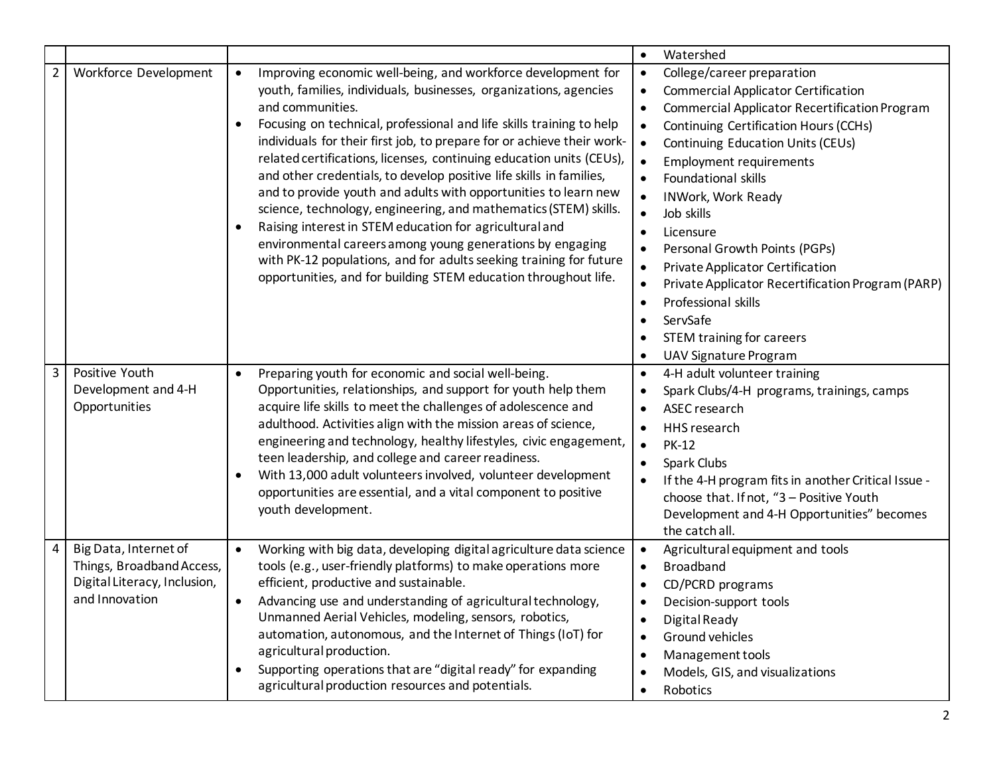| Watershed<br>$\bullet$<br>$\overline{2}$<br>Workforce Development<br>Improving economic well-being, and workforce development for<br>College/career preparation<br>$\bullet$<br>$\bullet$<br>youth, families, individuals, businesses, organizations, agencies<br><b>Commercial Applicator Certification</b><br>$\bullet$<br>and communities.<br>Commercial Applicator Recertification Program<br>$\bullet$<br>Focusing on technical, professional and life skills training to help<br>Continuing Certification Hours (CCHs)<br>$\bullet$<br>$\bullet$ |
|--------------------------------------------------------------------------------------------------------------------------------------------------------------------------------------------------------------------------------------------------------------------------------------------------------------------------------------------------------------------------------------------------------------------------------------------------------------------------------------------------------------------------------------------------------|
|                                                                                                                                                                                                                                                                                                                                                                                                                                                                                                                                                        |
|                                                                                                                                                                                                                                                                                                                                                                                                                                                                                                                                                        |
|                                                                                                                                                                                                                                                                                                                                                                                                                                                                                                                                                        |
|                                                                                                                                                                                                                                                                                                                                                                                                                                                                                                                                                        |
|                                                                                                                                                                                                                                                                                                                                                                                                                                                                                                                                                        |
| individuals for their first job, to prepare for or achieve their work-<br>Continuing Education Units (CEUs)<br>$\bullet$                                                                                                                                                                                                                                                                                                                                                                                                                               |
| related certifications, licenses, continuing education units (CEUs),<br><b>Employment requirements</b><br>$\bullet$                                                                                                                                                                                                                                                                                                                                                                                                                                    |
| and other credentials, to develop positive life skills in families,<br>Foundational skills<br>$\bullet$                                                                                                                                                                                                                                                                                                                                                                                                                                                |
| and to provide youth and adults with opportunities to learn new<br><b>INWork, Work Ready</b><br>$\bullet$                                                                                                                                                                                                                                                                                                                                                                                                                                              |
| science, technology, engineering, and mathematics (STEM) skills.<br>Job skills<br>$\bullet$                                                                                                                                                                                                                                                                                                                                                                                                                                                            |
| Raising interest in STEM education for agricultural and<br>Licensure<br>$\bullet$                                                                                                                                                                                                                                                                                                                                                                                                                                                                      |
| environmental careers among young generations by engaging<br>Personal Growth Points (PGPs)<br>$\bullet$                                                                                                                                                                                                                                                                                                                                                                                                                                                |
| with PK-12 populations, and for adults seeking training for future<br>Private Applicator Certification<br>$\bullet$                                                                                                                                                                                                                                                                                                                                                                                                                                    |
| opportunities, and for building STEM education throughout life.<br>Private Applicator Recertification Program (PARP)<br>$\bullet$                                                                                                                                                                                                                                                                                                                                                                                                                      |
| Professional skills<br>$\bullet$                                                                                                                                                                                                                                                                                                                                                                                                                                                                                                                       |
| ServSafe<br>$\bullet$                                                                                                                                                                                                                                                                                                                                                                                                                                                                                                                                  |
| <b>STEM training for careers</b><br>$\bullet$                                                                                                                                                                                                                                                                                                                                                                                                                                                                                                          |
| UAV Signature Program                                                                                                                                                                                                                                                                                                                                                                                                                                                                                                                                  |
| 3<br>Positive Youth<br>Preparing youth for economic and social well-being.<br>4-H adult volunteer training<br>$\bullet$<br>$\bullet$                                                                                                                                                                                                                                                                                                                                                                                                                   |
| Opportunities, relationships, and support for youth help them<br>Development and 4-H<br>Spark Clubs/4-H programs, trainings, camps<br>$\bullet$                                                                                                                                                                                                                                                                                                                                                                                                        |
| Opportunities<br>acquire life skills to meet the challenges of adolescence and<br>ASEC research<br>$\bullet$                                                                                                                                                                                                                                                                                                                                                                                                                                           |
| adulthood. Activities align with the mission areas of science,<br>HHS research<br>$\bullet$                                                                                                                                                                                                                                                                                                                                                                                                                                                            |
| engineering and technology, healthy lifestyles, civic engagement,<br><b>PK-12</b><br>$\bullet$                                                                                                                                                                                                                                                                                                                                                                                                                                                         |
| teen leadership, and college and career readiness.<br>Spark Clubs<br>$\bullet$                                                                                                                                                                                                                                                                                                                                                                                                                                                                         |
| With 13,000 adult volunteers involved, volunteer development<br>If the 4-H program fits in another Critical Issue -                                                                                                                                                                                                                                                                                                                                                                                                                                    |
| opportunities are essential, and a vital component to positive<br>choose that. If not, "3 - Positive Youth                                                                                                                                                                                                                                                                                                                                                                                                                                             |
| youth development.<br>Development and 4-H Opportunities" becomes                                                                                                                                                                                                                                                                                                                                                                                                                                                                                       |
| the catch all.                                                                                                                                                                                                                                                                                                                                                                                                                                                                                                                                         |
| Big Data, Internet of<br>4<br>Working with big data, developing digital agriculture data science<br>Agricultural equipment and tools<br>$\bullet$<br>$\bullet$                                                                                                                                                                                                                                                                                                                                                                                         |
| Things, Broadband Access,<br>tools (e.g., user-friendly platforms) to make operations more<br><b>Broadband</b><br>$\bullet$                                                                                                                                                                                                                                                                                                                                                                                                                            |
| Digital Literacy, Inclusion,<br>efficient, productive and sustainable.<br>CD/PCRD programs<br>$\bullet$                                                                                                                                                                                                                                                                                                                                                                                                                                                |
| and Innovation<br>Advancing use and understanding of agricultural technology,<br>$\bullet$<br>Decision-support tools<br>$\bullet$                                                                                                                                                                                                                                                                                                                                                                                                                      |
| Unmanned Aerial Vehicles, modeling, sensors, robotics,<br>Digital Ready<br>$\bullet$                                                                                                                                                                                                                                                                                                                                                                                                                                                                   |
| automation, autonomous, and the Internet of Things (IoT) for<br>Ground vehicles<br>$\bullet$                                                                                                                                                                                                                                                                                                                                                                                                                                                           |
| agricultural production.<br>Management tools<br>$\bullet$                                                                                                                                                                                                                                                                                                                                                                                                                                                                                              |
| Supporting operations that are "digital ready" for expanding<br>Models, GIS, and visualizations<br>$\bullet$                                                                                                                                                                                                                                                                                                                                                                                                                                           |
| agricultural production resources and potentials.<br>Robotics<br>$\bullet$                                                                                                                                                                                                                                                                                                                                                                                                                                                                             |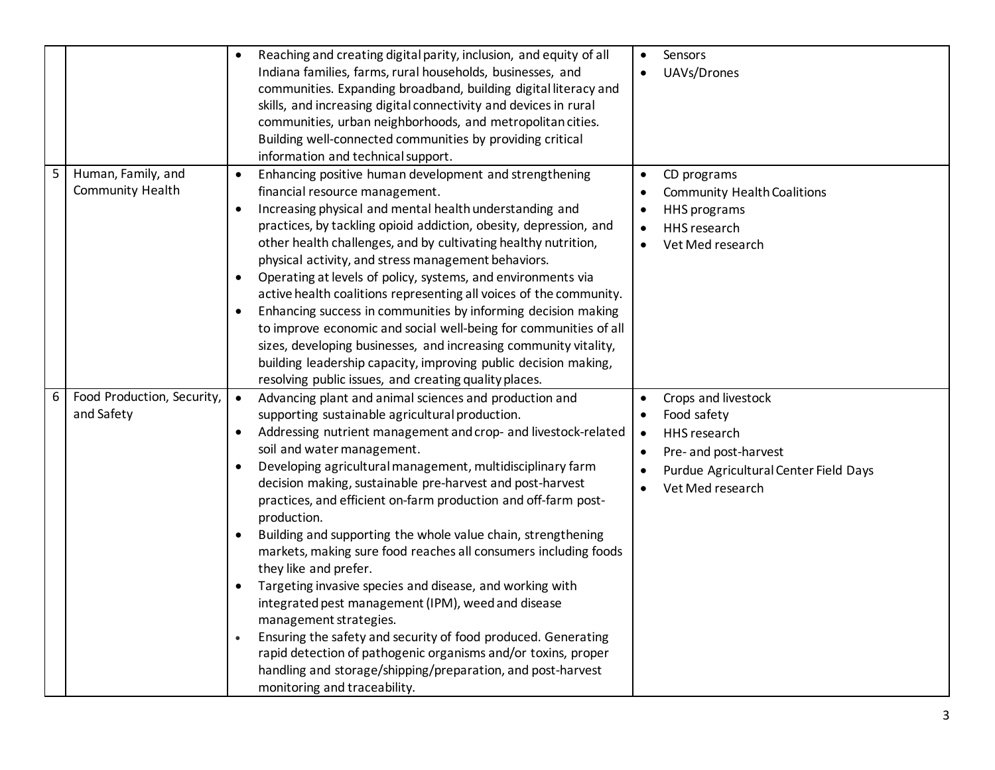|   |                                          | Reaching and creating digital parity, inclusion, and equity of all<br>$\bullet$<br>Indiana families, farms, rural households, businesses, and<br>communities. Expanding broadband, building digital literacy and<br>skills, and increasing digital connectivity and devices in rural<br>communities, urban neighborhoods, and metropolitan cities.<br>Building well-connected communities by providing critical<br>information and technical support.                                                                                                                                                                                                                                                                                                                                                                                                                                                                                                                                                 | $\bullet$ | Sensors<br>UAVs/Drones                                                                                                                   |
|---|------------------------------------------|-------------------------------------------------------------------------------------------------------------------------------------------------------------------------------------------------------------------------------------------------------------------------------------------------------------------------------------------------------------------------------------------------------------------------------------------------------------------------------------------------------------------------------------------------------------------------------------------------------------------------------------------------------------------------------------------------------------------------------------------------------------------------------------------------------------------------------------------------------------------------------------------------------------------------------------------------------------------------------------------------------|-----------|------------------------------------------------------------------------------------------------------------------------------------------|
| 5 | Human, Family, and<br>Community Health   | Enhancing positive human development and strengthening<br>$\bullet$<br>financial resource management.<br>Increasing physical and mental health understanding and<br>$\bullet$<br>practices, by tackling opioid addiction, obesity, depression, and<br>other health challenges, and by cultivating healthy nutrition,<br>physical activity, and stress management behaviors.<br>Operating at levels of policy, systems, and environments via<br>$\bullet$<br>active health coalitions representing all voices of the community.<br>Enhancing success in communities by informing decision making<br>to improve economic and social well-being for communities of all<br>sizes, developing businesses, and increasing community vitality,<br>building leadership capacity, improving public decision making,<br>resolving public issues, and creating quality places.                                                                                                                                   |           | CD programs<br><b>Community Health Coalitions</b><br><b>HHS</b> programs<br>HHS research<br>Vet Med research                             |
| 6 | Food Production, Security,<br>and Safety | Advancing plant and animal sciences and production and<br>$\bullet$<br>supporting sustainable agricultural production.<br>Addressing nutrient management and crop- and livestock-related<br>$\bullet$<br>soil and water management.<br>Developing agricultural management, multidisciplinary farm<br>$\bullet$<br>decision making, sustainable pre-harvest and post-harvest<br>practices, and efficient on-farm production and off-farm post-<br>production.<br>Building and supporting the whole value chain, strengthening<br>markets, making sure food reaches all consumers including foods<br>they like and prefer.<br>Targeting invasive species and disease, and working with<br>integrated pest management (IPM), weed and disease<br>management strategies.<br>Ensuring the safety and security of food produced. Generating<br>rapid detection of pathogenic organisms and/or toxins, proper<br>handling and storage/shipping/preparation, and post-harvest<br>monitoring and traceability. | $\bullet$ | Crops and livestock<br>Food safety<br>HHS research<br>Pre- and post-harvest<br>Purdue Agricultural Center Field Days<br>Vet Med research |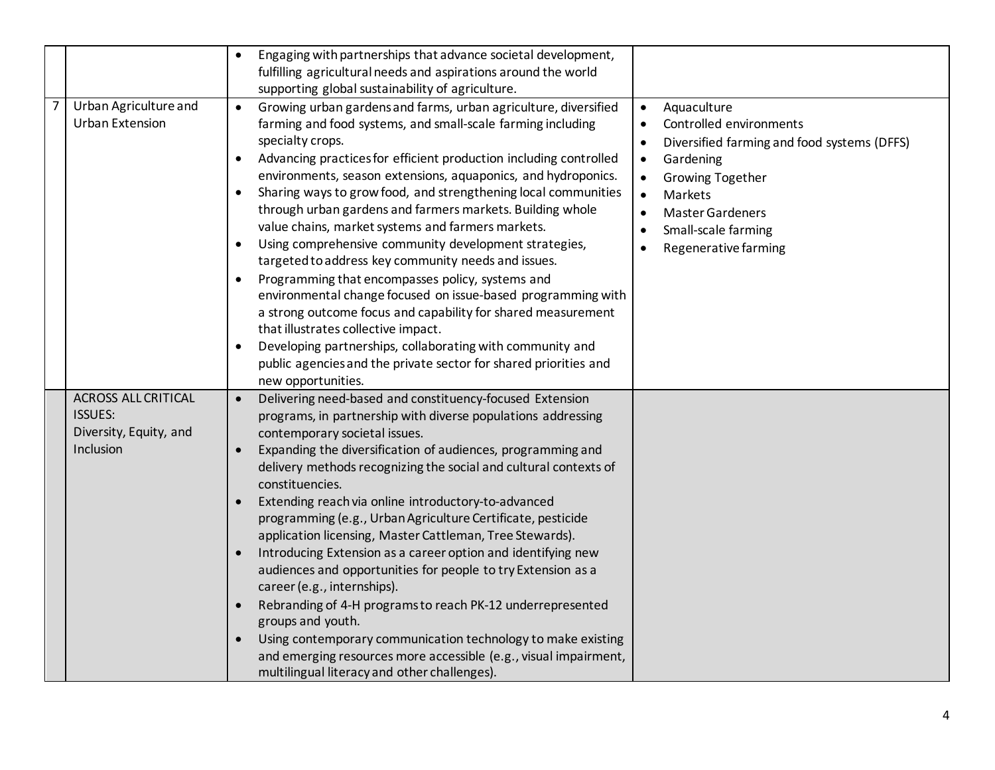|                                                                                     | Engaging with partnerships that advance societal development,<br>$\bullet$<br>fulfilling agricultural needs and aspirations around the world<br>supporting global sustainability of agriculture.                                                                                                                                                                                                                                                                                                                                                                                                                                                                                                                                                                                                                                                                                                                                                                                                         |                                                                                                                                                                                                                                                                              |
|-------------------------------------------------------------------------------------|----------------------------------------------------------------------------------------------------------------------------------------------------------------------------------------------------------------------------------------------------------------------------------------------------------------------------------------------------------------------------------------------------------------------------------------------------------------------------------------------------------------------------------------------------------------------------------------------------------------------------------------------------------------------------------------------------------------------------------------------------------------------------------------------------------------------------------------------------------------------------------------------------------------------------------------------------------------------------------------------------------|------------------------------------------------------------------------------------------------------------------------------------------------------------------------------------------------------------------------------------------------------------------------------|
| Urban Agriculture and<br>7<br><b>Urban Extension</b>                                | Growing urban gardens and farms, urban agriculture, diversified<br>$\bullet$<br>farming and food systems, and small-scale farming including<br>specialty crops.<br>Advancing practices for efficient production including controlled<br>$\bullet$<br>environments, season extensions, aquaponics, and hydroponics.<br>Sharing ways to grow food, and strengthening local communities<br>through urban gardens and farmers markets. Building whole<br>value chains, market systems and farmers markets.<br>Using comprehensive community development strategies,<br>targeted to address key community needs and issues.<br>Programming that encompasses policy, systems and<br>environmental change focused on issue-based programming with<br>a strong outcome focus and capability for shared measurement<br>that illustrates collective impact.<br>Developing partnerships, collaborating with community and<br>public agencies and the private sector for shared priorities and<br>new opportunities. | Aquaculture<br>$\bullet$<br>Controlled environments<br>Diversified farming and food systems (DFFS)<br>$\bullet$<br>Gardening<br>$\bullet$<br><b>Growing Together</b><br>Markets<br>$\bullet$<br>Master Gardeners<br>$\bullet$<br>Small-scale farming<br>Regenerative farming |
| <b>ACROSS ALL CRITICAL</b><br><b>ISSUES:</b><br>Diversity, Equity, and<br>Inclusion | Delivering need-based and constituency-focused Extension<br>$\bullet$<br>programs, in partnership with diverse populations addressing<br>contemporary societal issues.<br>Expanding the diversification of audiences, programming and<br>delivery methods recognizing the social and cultural contexts of<br>constituencies.<br>Extending reach via online introductory-to-advanced<br>programming (e.g., Urban Agriculture Certificate, pesticide<br>application licensing, Master Cattleman, Tree Stewards).<br>Introducing Extension as a career option and identifying new<br>audiences and opportunities for people to try Extension as a<br>career (e.g., internships).<br>Rebranding of 4-H programs to reach PK-12 underrepresented<br>groups and youth.<br>Using contemporary communication technology to make existing<br>and emerging resources more accessible (e.g., visual impairment,<br>multilingual literacy and other challenges).                                                     |                                                                                                                                                                                                                                                                              |